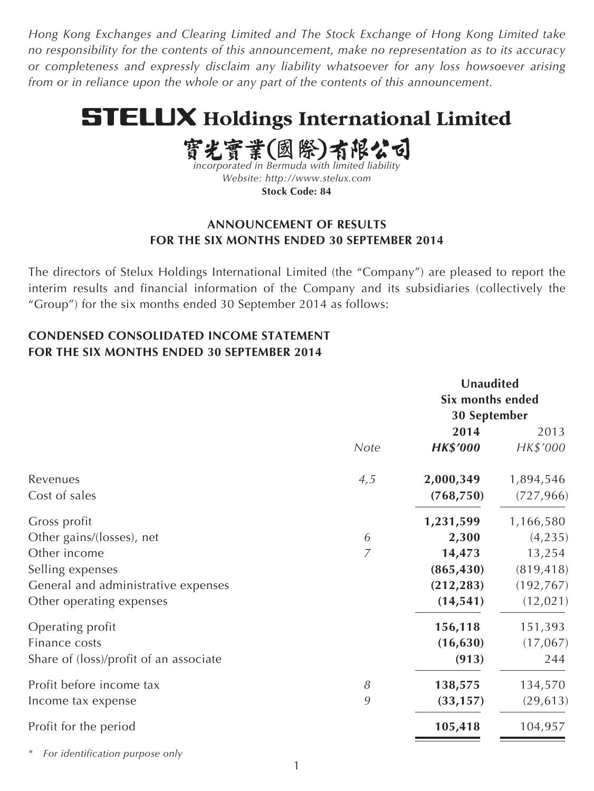*Hong Kong Exchanges and Clearing Limited and The Stock Exchange of Hong Kong Limited take no responsibility for the contents of this announcement, make no representation as to its accuracy or completeness and expressly disclaim any liability whatsoever for any loss howsoever arising from or in reliance upon the whole or any part of the contents of this announcement.*

# **STELUX Holdings International Limited**

實光實業(國際)有限公司

*incorporated in Bermuda with limited liability Website: <http://www.stelux.com>* **Stock Code: 84**

# **ANNOUNCEMENT OF RESULTS FOR THE SIX MONTHS ENDED 30 SEPTEMBER 2014**

The directors of Stelux Holdings International Limited (the "Company") are pleased to report the interim results and financial information of the Company and its subsidiaries (collectively the "Group") for the six months ended 30 September 2014 as follows:

# **CONDENSED CONSOLIDATED INCOME STATEMENT FOR THE SIX MONTHS ENDED 30 SEPTEMBER 2014**

|                                                         |      |                          | Unaudited<br>Six months ended<br>30 September |  |
|---------------------------------------------------------|------|--------------------------|-----------------------------------------------|--|
|                                                         | Note | 2014<br><b>HK\$'000</b>  | 2013<br>HK\$'000                              |  |
| Revenues<br>Cost of sales                               | 4,5  | 2,000,349<br>(768, 750)  | 1,894,546<br>(727, 966)                       |  |
| Gross profit<br>Other gains/(losses), net               | 6    | 1,231,599<br>2,300       | 1,166,580<br>(4, 235)                         |  |
| Other income                                            | 7    | 14,473                   | 13,254                                        |  |
| Selling expenses<br>General and administrative expenses |      | (865, 430)<br>(212, 283) | (819, 418)<br>(192, 767)                      |  |
| Other operating expenses                                |      | (14, 541)                | (12, 021)                                     |  |
| Operating profit                                        |      | 156,118                  | 151,393                                       |  |
| Finance costs<br>Share of (loss)/profit of an associate |      | (16, 630)<br>(913)       | (17,067)<br>244                               |  |
| Profit before income tax                                | 8    | 138,575                  | 134,570                                       |  |
| Income tax expense                                      | 9    | (33, 157)                | (29, 613)                                     |  |
| Profit for the period                                   |      | 105,418                  | 104,957                                       |  |

*\* For identification purpose only*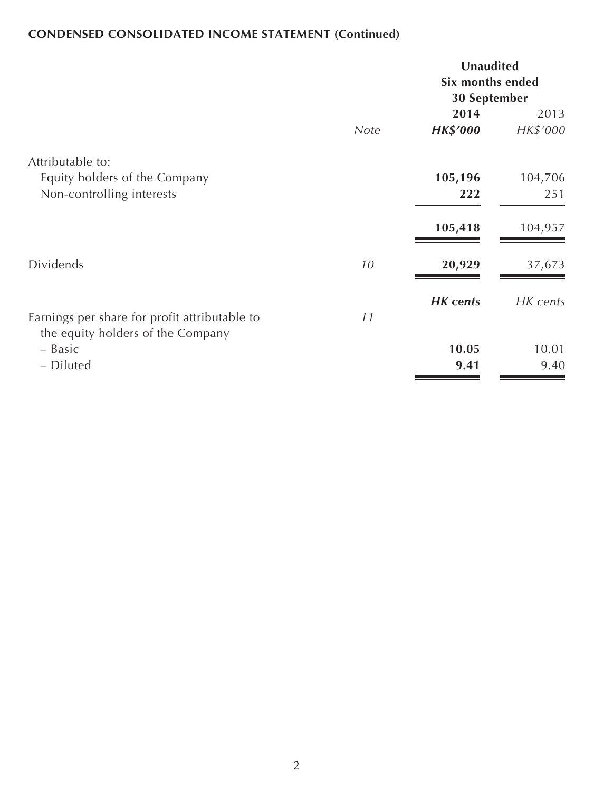# **CONDENSED CONSOLIDATED INCOME STATEMENT (Continued)**

|                                                                                    |      | Unaudited<br>Six months ended<br>30 September |                  |  |
|------------------------------------------------------------------------------------|------|-----------------------------------------------|------------------|--|
|                                                                                    | Note | 2014<br><b>HK\$'000</b>                       | 2013<br>HK\$'000 |  |
| Attributable to:<br>Equity holders of the Company<br>Non-controlling interests     |      | 105,196<br>222                                | 104,706<br>251   |  |
|                                                                                    |      | 105,418                                       | 104,957          |  |
| <b>Dividends</b>                                                                   | 10   | 20,929                                        | 37,673           |  |
| Earnings per share for profit attributable to<br>the equity holders of the Company | 11   | <b>HK</b> cents                               | HK cents         |  |
| - Basic<br>- Diluted                                                               |      | 10.05<br>9.41                                 | 10.01<br>9.40    |  |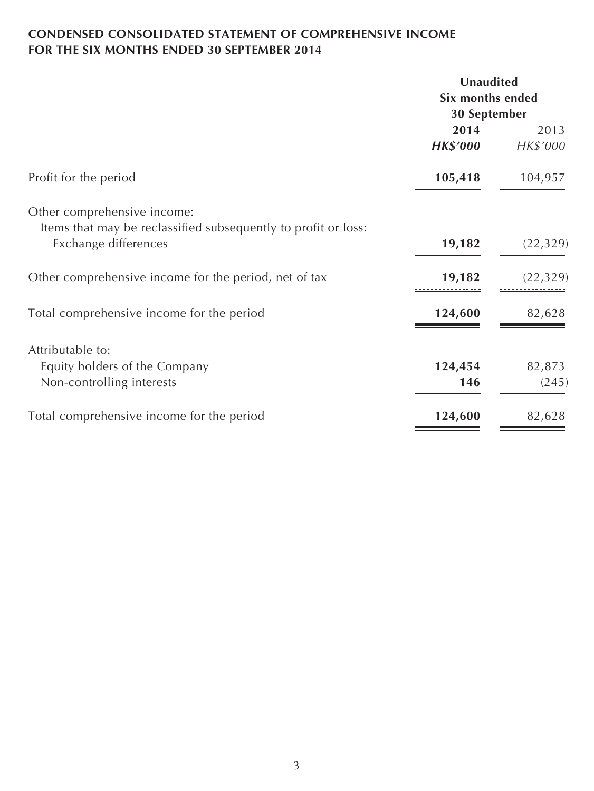# **CONDENSED CONSOLIDATED STATEMENT OF COMPREHENSIVE INCOME FOR THE SIX MONTHS ENDED 30 SEPTEMBER 2014**

|                                                                                        | Unaudited                        |           |  |
|----------------------------------------------------------------------------------------|----------------------------------|-----------|--|
|                                                                                        | Six months ended<br>30 September |           |  |
|                                                                                        |                                  |           |  |
|                                                                                        | 2014                             | 2013      |  |
|                                                                                        | <b>HK\$'000</b>                  | HK\$'000  |  |
| Profit for the period                                                                  | 105,418                          | 104,957   |  |
| Other comprehensive income:                                                            |                                  |           |  |
| Items that may be reclassified subsequently to profit or loss:<br>Exchange differences | 19,182                           | (22, 329) |  |
| Other comprehensive income for the period, net of tax                                  | 19,182                           | (22, 329) |  |
| Total comprehensive income for the period                                              | 124,600                          | 82,628    |  |
| Attributable to:                                                                       |                                  |           |  |
| Equity holders of the Company                                                          | 124,454                          | 82,873    |  |
| Non-controlling interests                                                              | 146                              | (245)     |  |
| Total comprehensive income for the period                                              | 124,600                          | 82,628    |  |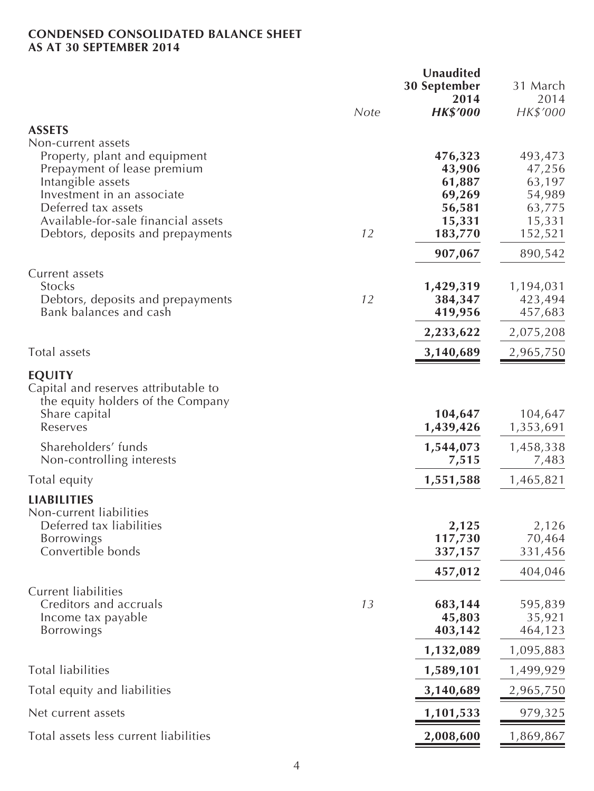### **CONDENSED CONSOLIDATED BALANCE SHEET AS AT 30 SEPTEMBER 2014**

|                                                  |             | Unaudited<br><b>30 September</b> | 31 March             |
|--------------------------------------------------|-------------|----------------------------------|----------------------|
|                                                  | <b>Note</b> | 2014<br><b>HK\$'000</b>          | 2014<br>HK\$'000     |
| <b>ASSETS</b>                                    |             |                                  |                      |
| Non-current assets                               |             |                                  |                      |
| Property, plant and equipment                    |             | 476,323                          | 493,473              |
| Prepayment of lease premium                      |             | 43,906                           | 47,256               |
| Intangible assets<br>Investment in an associate  |             | 61,887<br>69,269                 | 63,197<br>54,989     |
| Deferred tax assets                              |             | 56,581                           | 63,775               |
| Available-for-sale financial assets              |             | 15,331                           | 15,331               |
| Debtors, deposits and prepayments                | 12          | 183,770                          | 152,521              |
|                                                  |             | 907,067                          | 890,542              |
| Current assets<br>Stocks                         |             |                                  |                      |
| Debtors, deposits and prepayments                | 12          | 1,429,319<br>384,347             | 1,194,031<br>423,494 |
| Bank balances and cash                           |             | 419,956                          | 457,683              |
|                                                  |             | 2,233,622                        | 2,075,208            |
| Total assets                                     |             | 3,140,689                        | 2,965,750            |
| <b>EQUITY</b>                                    |             |                                  |                      |
| Capital and reserves attributable to             |             |                                  |                      |
| the equity holders of the Company                |             |                                  |                      |
| Share capital<br>Reserves                        |             | 104,647<br>1,439,426             | 104,647<br>1,353,691 |
|                                                  |             |                                  |                      |
| Shareholders' funds<br>Non-controlling interests |             | 1,544,073<br>7,515               | 1,458,338<br>7,483   |
| Total equity                                     |             | 1,551,588                        | 1,465,821            |
| <b>LIABILITIES</b>                               |             |                                  |                      |
| Non-current liabilities                          |             |                                  |                      |
| Deferred tax liabilities                         |             | 2,125                            | 2,126                |
| Borrowings                                       |             | 117,730                          | 70,464               |
| Convertible bonds                                |             | 337,157                          | 331,456              |
|                                                  |             | 457,012                          | 404,046              |
| <b>Current liabilities</b>                       |             |                                  |                      |
| Creditors and accruals                           | 13          | 683,144                          | 595,839              |
| Income tax payable<br>Borrowings                 |             | 45,803<br>403,142                | 35,921<br>464,123    |
|                                                  |             | 1,132,089                        | 1,095,883            |
| <b>Total liabilities</b>                         |             | 1,589,101                        | 1,499,929            |
| Total equity and liabilities                     |             | 3,140,689                        | 2,965,750            |
| Net current assets                               |             | 1,101,533                        | 979,325              |
|                                                  |             |                                  |                      |
| Total assets less current liabilities            |             | 2,008,600                        | 1,869,867            |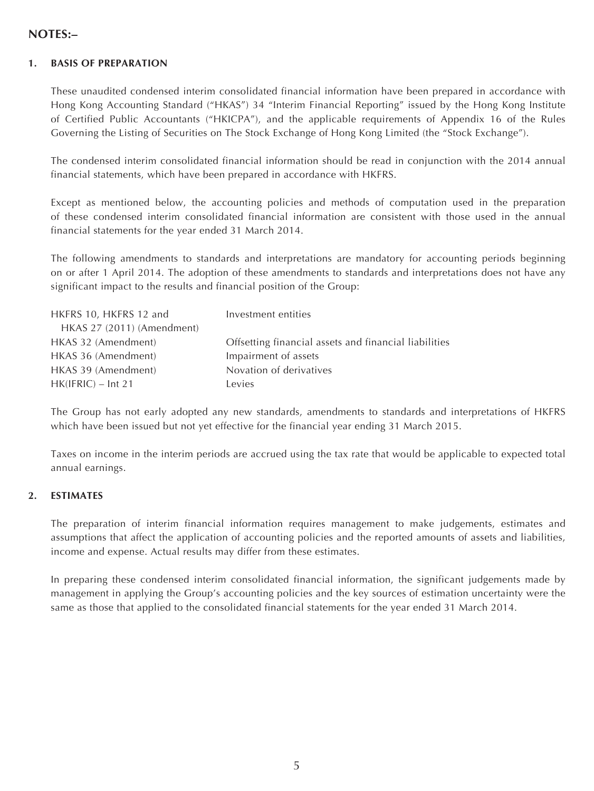### **NOTES:–**

### **1. BASIS OF PREPARATION**

These unaudited condensed interim consolidated financial information have been prepared in accordance with Hong Kong Accounting Standard ("HKAS") 34 "Interim Financial Reporting" issued by the Hong Kong Institute of Certified Public Accountants ("HKICPA"), and the applicable requirements of Appendix 16 of the Rules Governing the Listing of Securities on The Stock Exchange of Hong Kong Limited (the "Stock Exchange").

The condensed interim consolidated financial information should be read in conjunction with the 2014 annual financial statements, which have been prepared in accordance with HKFRS.

Except as mentioned below, the accounting policies and methods of computation used in the preparation of these condensed interim consolidated financial information are consistent with those used in the annual financial statements for the year ended 31 March 2014.

The following amendments to standards and interpretations are mandatory for accounting periods beginning on or after 1 April 2014. The adoption of these amendments to standards and interpretations does not have any significant impact to the results and financial position of the Group:

| HKFRS 10, HKFRS 12 and     | Investment entities                                   |
|----------------------------|-------------------------------------------------------|
| HKAS 27 (2011) (Amendment) |                                                       |
| HKAS 32 (Amendment)        | Offsetting financial assets and financial liabilities |
| HKAS 36 (Amendment)        | Impairment of assets                                  |
| HKAS 39 (Amendment)        | Novation of derivatives                               |
| $HK(IFRIC) - Int 21$       | Levies                                                |

The Group has not early adopted any new standards, amendments to standards and interpretations of HKFRS which have been issued but not yet effective for the financial year ending 31 March 2015.

Taxes on income in the interim periods are accrued using the tax rate that would be applicable to expected total annual earnings.

### **2. ESTIMATES**

The preparation of interim financial information requires management to make judgements, estimates and assumptions that affect the application of accounting policies and the reported amounts of assets and liabilities, income and expense. Actual results may differ from these estimates.

In preparing these condensed interim consolidated financial information, the significant judgements made by management in applying the Group's accounting policies and the key sources of estimation uncertainty were the same as those that applied to the consolidated financial statements for the year ended 31 March 2014.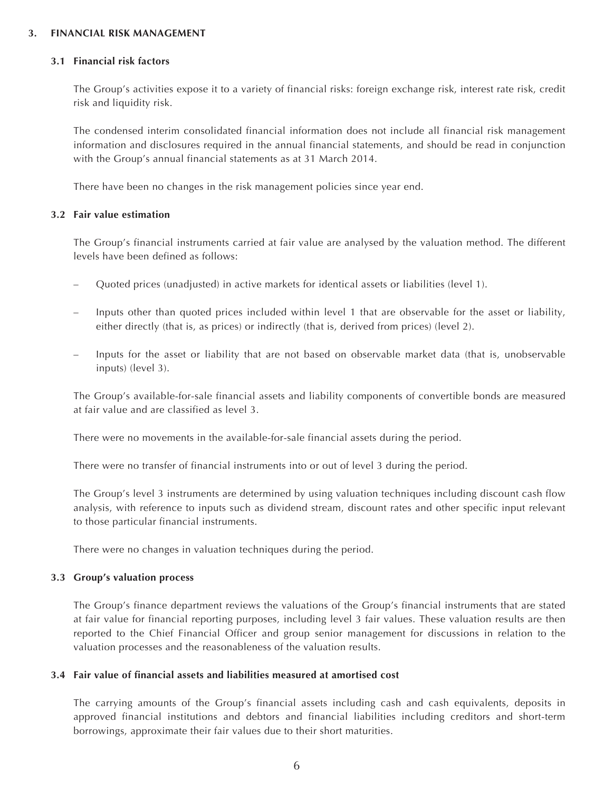#### **3. FINANCIAL RISK MANAGEMENT**

#### **3.1 Financial risk factors**

The Group's activities expose it to a variety of financial risks: foreign exchange risk, interest rate risk, credit risk and liquidity risk.

The condensed interim consolidated financial information does not include all financial risk management information and disclosures required in the annual financial statements, and should be read in conjunction with the Group's annual financial statements as at 31 March 2014.

There have been no changes in the risk management policies since year end.

#### **3.2 Fair value estimation**

The Group's financial instruments carried at fair value are analysed by the valuation method. The different levels have been defined as follows:

- Quoted prices (unadjusted) in active markets for identical assets or liabilities (level 1).
- Inputs other than quoted prices included within level 1 that are observable for the asset or liability, either directly (that is, as prices) or indirectly (that is, derived from prices) (level 2).
- Inputs for the asset or liability that are not based on observable market data (that is, unobservable inputs) (level 3).

The Group's available-for-sale financial assets and liability components of convertible bonds are measured at fair value and are classified as level 3.

There were no movements in the available-for-sale financial assets during the period.

There were no transfer of financial instruments into or out of level 3 during the period.

The Group's level 3 instruments are determined by using valuation techniques including discount cash flow analysis, with reference to inputs such as dividend stream, discount rates and other specific input relevant to those particular financial instruments.

There were no changes in valuation techniques during the period.

#### **3.3 Group's valuation process**

The Group's finance department reviews the valuations of the Group's financial instruments that are stated at fair value for financial reporting purposes, including level 3 fair values. These valuation results are then reported to the Chief Financial Officer and group senior management for discussions in relation to the valuation processes and the reasonableness of the valuation results.

#### **3.4 Fair value of financial assets and liabilities measured at amortised cost**

The carrying amounts of the Group's financial assets including cash and cash equivalents, deposits in approved financial institutions and debtors and financial liabilities including creditors and short-term borrowings, approximate their fair values due to their short maturities.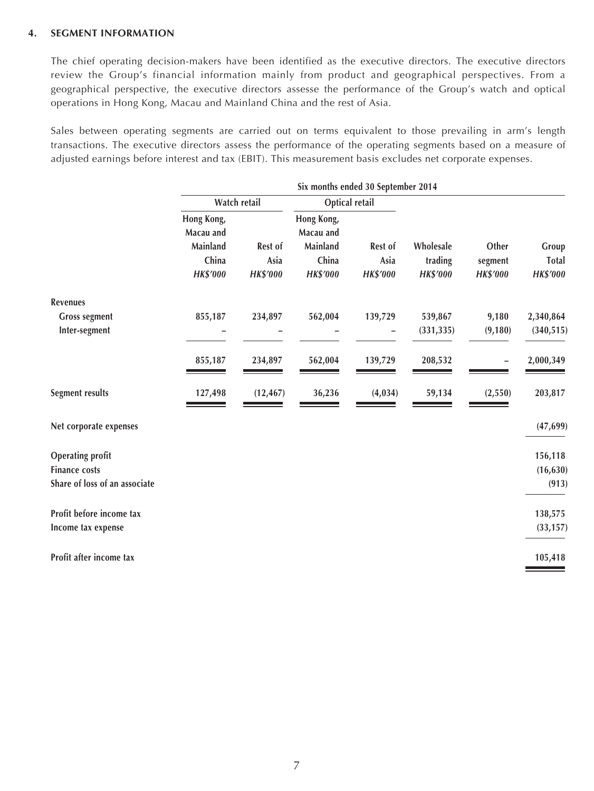### **4. SEGMENT INFORMATION**

The chief operating decision-makers have been identified as the executive directors. The executive directors review the Group's financial information mainly from product and geographical perspectives. From a geographical perspective, the executive directors assesse the performance of the Group's watch and optical operations in Hong Kong, Macau and Mainland China and the rest of Asia.

Sales between operating segments are carried out on terms equivalent to those prevailing in arm's length transactions. The executive directors assess the performance of the operating segments based on a measure of adjusted earnings before interest and tax (EBIT). This measurement basis excludes net corporate expenses.

| Six months ended 30 September 2014           |                            |                                              |                 |                      |                  |                       |
|----------------------------------------------|----------------------------|----------------------------------------------|-----------------|----------------------|------------------|-----------------------|
| Watch retail                                 |                            | Optical retail                               |                 |                      |                  |                       |
| Hong Kong,<br>Macau and<br>Mainland<br>China | Rest of<br>Asia            | Hong Kong,<br>Macau and<br>Mainland<br>China | Rest of<br>Asia | Wholesale<br>trading | Other<br>segment | Group<br><b>Total</b> |
|                                              |                            |                                              |                 |                      |                  | <b>HK\$'000</b>       |
|                                              |                            |                                              |                 |                      |                  |                       |
|                                              | 234,897                    | 562,004                                      | 139,729         | 539,867              | 9,180            | 2,340,864             |
|                                              |                            |                                              |                 | (331, 335)           | (9, 180)         | (340, 515)            |
| 855,187                                      | 234,897                    | 562,004                                      | 139,729         | 208,532              |                  | 2,000,349             |
| 127,498                                      | (12, 467)                  | 36,236                                       | (4, 034)        | 59,134               | (2,550)          | 203,817               |
|                                              |                            |                                              |                 |                      |                  | (47, 699)             |
|                                              |                            |                                              |                 |                      |                  | 156,118               |
|                                              |                            |                                              |                 |                      |                  | (16, 630)             |
|                                              |                            |                                              |                 |                      |                  | (913)                 |
|                                              |                            |                                              |                 |                      |                  | 138,575               |
|                                              |                            |                                              |                 |                      |                  | (33, 157)             |
|                                              |                            |                                              |                 |                      |                  | 105,418               |
|                                              | <b>HK\$'000</b><br>855,187 | <b>HK\$'000</b>                              | HK\$'000        | <b>HK\$'000</b>      | <b>HK\$'000</b>  | <b>HK\$'000</b>       |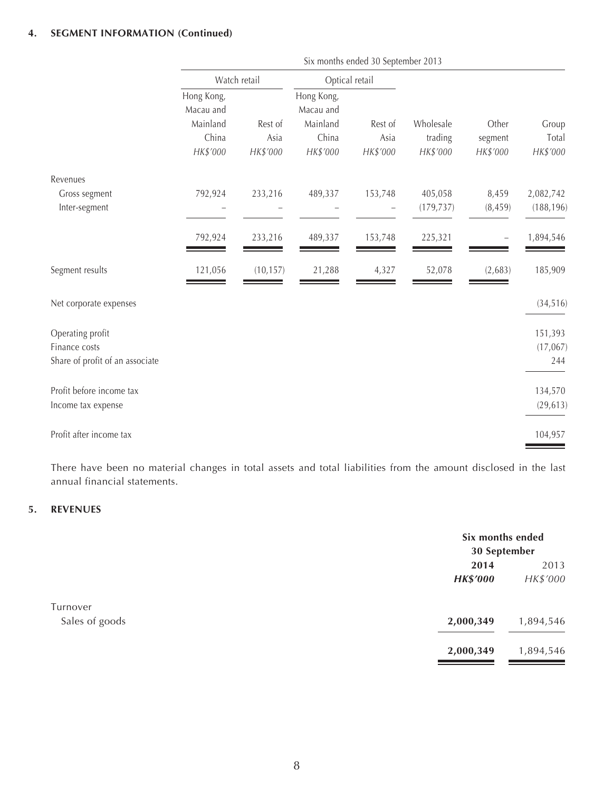### **4. SEGMENT INFORMATION (Continued)**

|                                                                      | Six months ended 30 September 2013                       |                             |                                                          |                             |                                  |                              |                            |
|----------------------------------------------------------------------|----------------------------------------------------------|-----------------------------|----------------------------------------------------------|-----------------------------|----------------------------------|------------------------------|----------------------------|
|                                                                      | Watch retail                                             |                             | Optical retail                                           |                             |                                  |                              |                            |
|                                                                      | Hong Kong,<br>Macau and<br>Mainland<br>China<br>HK\$'000 | Rest of<br>Asia<br>HK\$'000 | Hong Kong,<br>Macau and<br>Mainland<br>China<br>HK\$'000 | Rest of<br>Asia<br>HK\$'000 | Wholesale<br>trading<br>HK\$'000 | Other<br>segment<br>HK\$'000 | Group<br>Total<br>HK\$'000 |
| Revenues                                                             |                                                          |                             |                                                          |                             |                                  |                              |                            |
| Gross segment<br>Inter-segment                                       | 792,924                                                  | 233,216                     | 489,337                                                  | 153,748                     | 405,058<br>(179, 737)            | 8,459<br>(8, 459)            | 2,082,742<br>(188, 196)    |
|                                                                      | 792,924                                                  | 233,216                     | 489,337                                                  | 153,748                     | 225,321                          |                              | 1,894,546                  |
| Segment results                                                      | 121,056                                                  | (10, 157)                   | 21,288                                                   | 4,327                       | 52,078                           | (2,683)                      | 185,909                    |
| Net corporate expenses                                               |                                                          |                             |                                                          |                             |                                  |                              | (34, 516)                  |
| Operating profit<br>Finance costs<br>Share of profit of an associate |                                                          |                             |                                                          |                             |                                  |                              | 151,393<br>(17,067)<br>244 |
| Profit before income tax<br>Income tax expense                       |                                                          |                             |                                                          |                             |                                  |                              | 134,570<br>(29, 613)       |
| Profit after income tax                                              |                                                          |                             |                                                          |                             |                                  |                              | 104,957                    |

There have been no material changes in total assets and total liabilities from the amount disclosed in the last annual financial statements.

### **5. REVENUES**

|                |                 | Six months ended<br>30 September |  |
|----------------|-----------------|----------------------------------|--|
|                | 2014            | 2013                             |  |
|                | <b>HK\$'000</b> | HK\$'000                         |  |
| Turnover       |                 |                                  |  |
| Sales of goods | 2,000,349       | 1,894,546                        |  |
|                | 2,000,349       | 1,894,546                        |  |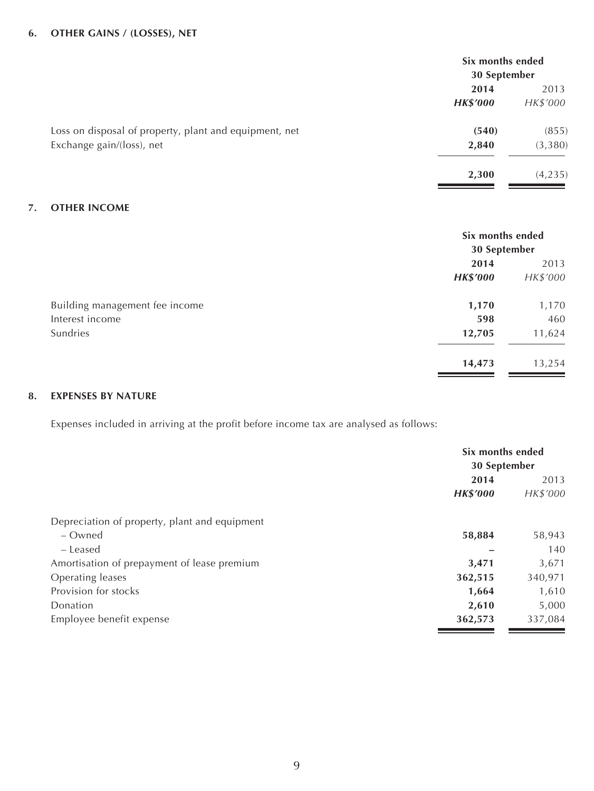### **6. OTHER GAINS / (LOSSES), NET**

|                                                        | Six months ended<br>30 September |          |
|--------------------------------------------------------|----------------------------------|----------|
|                                                        | 2014                             | 2013     |
|                                                        | <b>HK\$'000</b>                  | HK\$'000 |
| Loss on disposal of property, plant and equipment, net | (540)                            | (855)    |
| Exchange gain/(loss), net                              | 2,840                            | (3, 380) |
|                                                        | 2,300                            | (4, 235) |

### **7. OTHER INCOME**

|                                | Six months ended<br>30 September |          |
|--------------------------------|----------------------------------|----------|
|                                | 2014                             | 2013     |
|                                | <b>HK\$'000</b>                  | HK\$'000 |
| Building management fee income | 1,170                            | 1,170    |
| Interest income                | 598                              | 460      |
| Sundries                       | 12,705                           | 11,624   |
|                                | 14,473                           | 13,254   |

### **8. EXPENSES BY NATURE**

Expenses included in arriving at the profit before income tax are analysed as follows:

|                                               | Six months ended<br>30 September |          |
|-----------------------------------------------|----------------------------------|----------|
|                                               |                                  |          |
|                                               | 2014                             |          |
|                                               | <b>HK\$'000</b>                  | HK\$'000 |
| Depreciation of property, plant and equipment |                                  |          |
| – Owned                                       | 58,884                           | 58,943   |
| – Leased                                      |                                  | 140      |
| Amortisation of prepayment of lease premium   | 3,471                            | 3,671    |
| Operating leases                              | 362,515                          | 340,971  |
| Provision for stocks                          | 1,664                            | 1,610    |
| Donation                                      | 2,610                            | 5,000    |
| Employee benefit expense                      | 362,573                          | 337,084  |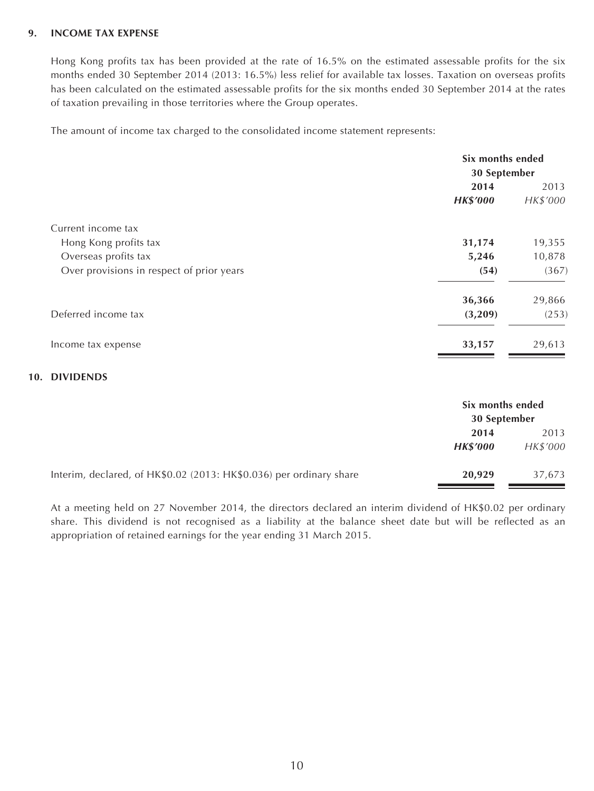### **9. INCOME TAX EXPENSE**

Hong Kong profits tax has been provided at the rate of 16.5% on the estimated assessable profits for the six months ended 30 September 2014 (2013: 16.5%) less relief for available tax losses. Taxation on overseas profits has been calculated on the estimated assessable profits for the six months ended 30 September 2014 at the rates of taxation prevailing in those territories where the Group operates.

The amount of income tax charged to the consolidated income statement represents:

|                                           | Six months ended |          |  |
|-------------------------------------------|------------------|----------|--|
|                                           | 30 September     |          |  |
|                                           | 2014             | 2013     |  |
|                                           | <b>HK\$'000</b>  | HK\$'000 |  |
| Current income tax                        |                  |          |  |
| Hong Kong profits tax                     | 31,174           | 19,355   |  |
| Overseas profits tax                      | 5,246            | 10,878   |  |
| Over provisions in respect of prior years | (54)             | (367)    |  |
|                                           | 36,366           | 29,866   |  |
| Deferred income tax                       | (3,209)          | (253)    |  |
| Income tax expense                        | 33,157           | 29,613   |  |

#### **10. DIVIDENDS**

|                                                                     | Six months ended<br>30 September |          |
|---------------------------------------------------------------------|----------------------------------|----------|
|                                                                     | 2014                             | 2013     |
|                                                                     | <b>HK\$'000</b>                  | HK\$'000 |
| Interim, declared, of HK\$0.02 (2013: HK\$0.036) per ordinary share | 20,929                           | 37,673   |

At a meeting held on 27 November 2014, the directors declared an interim dividend of HK\$0.02 per ordinary share. This dividend is not recognised as a liability at the balance sheet date but will be reflected as an appropriation of retained earnings for the year ending 31 March 2015.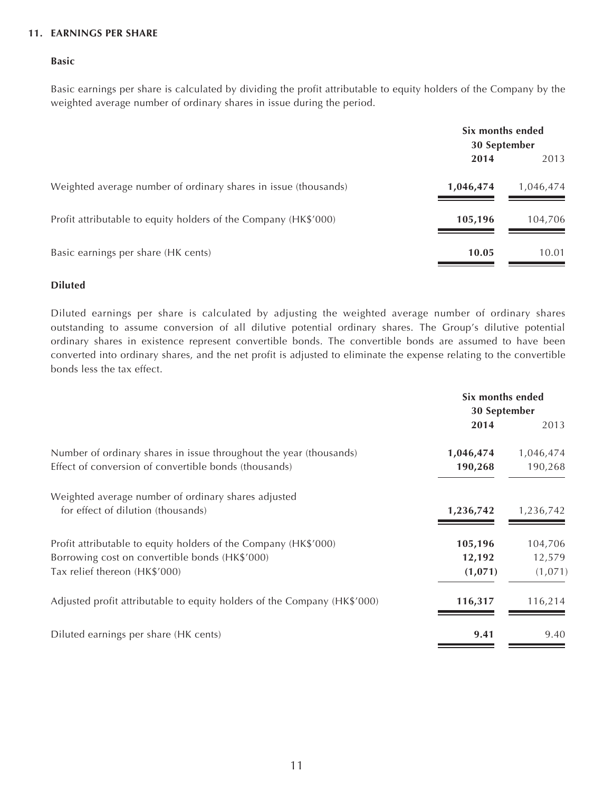### **11. EARNINGS PER SHARE**

#### **Basic**

Basic earnings per share is calculated by dividing the profit attributable to equity holders of the Company by the weighted average number of ordinary shares in issue during the period.

|                                                                 | Six months ended<br>30 September |           |
|-----------------------------------------------------------------|----------------------------------|-----------|
|                                                                 | 2014                             | 2013      |
| Weighted average number of ordinary shares in issue (thousands) | 1,046,474                        | 1,046,474 |
| Profit attributable to equity holders of the Company (HK\$'000) | 105,196                          | 104,706   |
| Basic earnings per share (HK cents)                             | 10.05                            | 10.01     |

#### **Diluted**

Diluted earnings per share is calculated by adjusting the weighted average number of ordinary shares outstanding to assume conversion of all dilutive potential ordinary shares. The Group's dilutive potential ordinary shares in existence represent convertible bonds. The convertible bonds are assumed to have been converted into ordinary shares, and the net profit is adjusted to eliminate the expense relating to the convertible bonds less the tax effect.

|                                                                          | Six months ended<br>30 September |           |
|--------------------------------------------------------------------------|----------------------------------|-----------|
|                                                                          | 2014                             | 2013      |
| Number of ordinary shares in issue throughout the year (thousands)       | 1,046,474                        | 1,046,474 |
| Effect of conversion of convertible bonds (thousands)                    | 190,268                          | 190,268   |
| Weighted average number of ordinary shares adjusted                      |                                  |           |
| for effect of dilution (thousands)                                       | 1,236,742                        | 1,236,742 |
| Profit attributable to equity holders of the Company (HK\$'000)          | 105,196                          | 104,706   |
| Borrowing cost on convertible bonds (HK\$'000)                           | 12,192                           | 12,579    |
| Tax relief thereon (HK\$'000)                                            | (1,071)                          | (1,071)   |
| Adjusted profit attributable to equity holders of the Company (HK\$'000) | 116,317                          | 116,214   |
| Diluted earnings per share (HK cents)                                    | 9.41                             | 9.40      |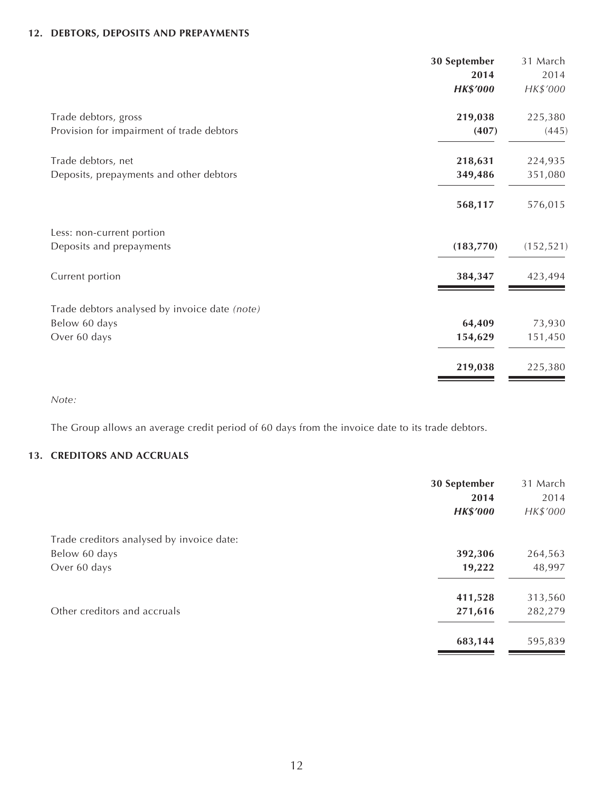### **12. DEBTORS, DEPOSITS AND PREPAYMENTS**

| 30 September    | 31 March   |
|-----------------|------------|
| 2014            | 2014       |
| <b>HK\$'000</b> | HK\$'000   |
| 219,038         | 225,380    |
| (407)           | (445)      |
| 218,631         | 224,935    |
| 349,486         | 351,080    |
| 568,117         | 576,015    |
|                 |            |
| (183,770)       | (152, 521) |
| 384,347         | 423,494    |
|                 |            |
| 64,409          | 73,930     |
| 154,629         | 151,450    |
| 219,038         | 225,380    |
|                 |            |

*Note:*

The Group allows an average credit period of 60 days from the invoice date to its trade debtors.

### **13. CREDITORS AND ACCRUALS**

|                                           | 30 September<br>2014<br><b>HK\$'000</b> | 31 March<br>2014<br>HK\$'000 |
|-------------------------------------------|-----------------------------------------|------------------------------|
| Trade creditors analysed by invoice date: |                                         |                              |
| Below 60 days                             | 392,306                                 | 264,563                      |
| Over 60 days                              | 19,222                                  | 48,997                       |
|                                           | 411,528                                 | 313,560                      |
| Other creditors and accruals              | 271,616                                 | 282,279                      |
|                                           | 683,144                                 | 595,839                      |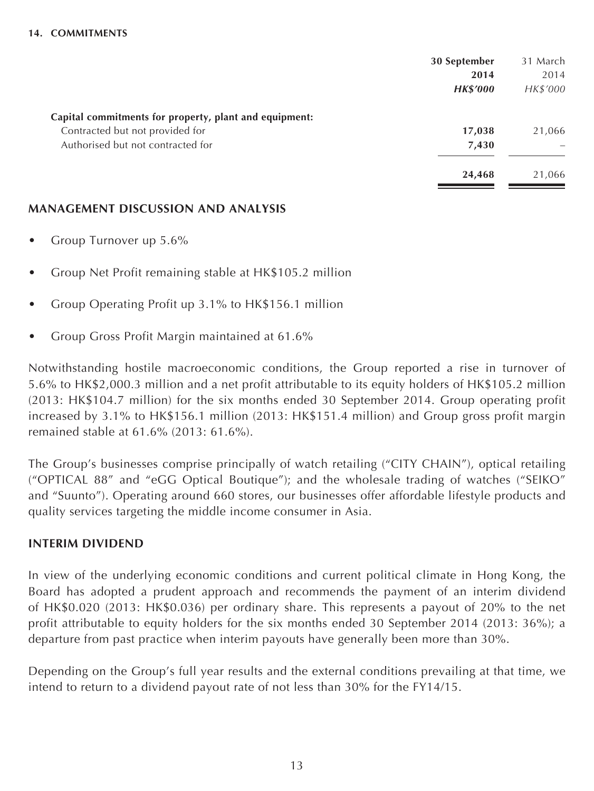|                                                        | 30 September    | 31 March |
|--------------------------------------------------------|-----------------|----------|
|                                                        | 2014            | 2014     |
|                                                        | <b>HK\$'000</b> | HK\$'000 |
| Capital commitments for property, plant and equipment: |                 |          |
| Contracted but not provided for                        | 17,038          | 21,066   |
| Authorised but not contracted for                      | 7,430           |          |
|                                                        | 24,468          | 21,066   |

### **MANAGEMENT DISCUSSION AND ANALYSIS**

- Group Turnover up 5.6%
- Group Net Profit remaining stable at HK\$105.2 million
- Group Operating Profit up 3.1% to HK\$156.1 million
- Group Gross Profit Margin maintained at 61.6%

Notwithstanding hostile macroeconomic conditions, the Group reported a rise in turnover of 5.6% to HK\$2,000.3 million and a net profit attributable to its equity holders of HK\$105.2 million (2013: HK\$104.7 million) for the six months ended 30 September 2014. Group operating profit increased by 3.1% to HK\$156.1 million (2013: HK\$151.4 million) and Group gross profit margin remained stable at 61.6% (2013: 61.6%).

The Group's businesses comprise principally of watch retailing ("CITY CHAIN"), optical retailing ("OPTICAL 88" and "eGG Optical Boutique"); and the wholesale trading of watches ("SEIKO" and "Suunto"). Operating around 660 stores, our businesses offer affordable lifestyle products and quality services targeting the middle income consumer in Asia.

# **INTERIM DIVIDEND**

In view of the underlying economic conditions and current political climate in Hong Kong, the Board has adopted a prudent approach and recommends the payment of an interim dividend of HK\$0.020 (2013: HK\$0.036) per ordinary share. This represents a payout of 20% to the net profit attributable to equity holders for the six months ended 30 September 2014 (2013: 36%); a departure from past practice when interim payouts have generally been more than 30%.

Depending on the Group's full year results and the external conditions prevailing at that time, we intend to return to a dividend payout rate of not less than 30% for the FY14/15.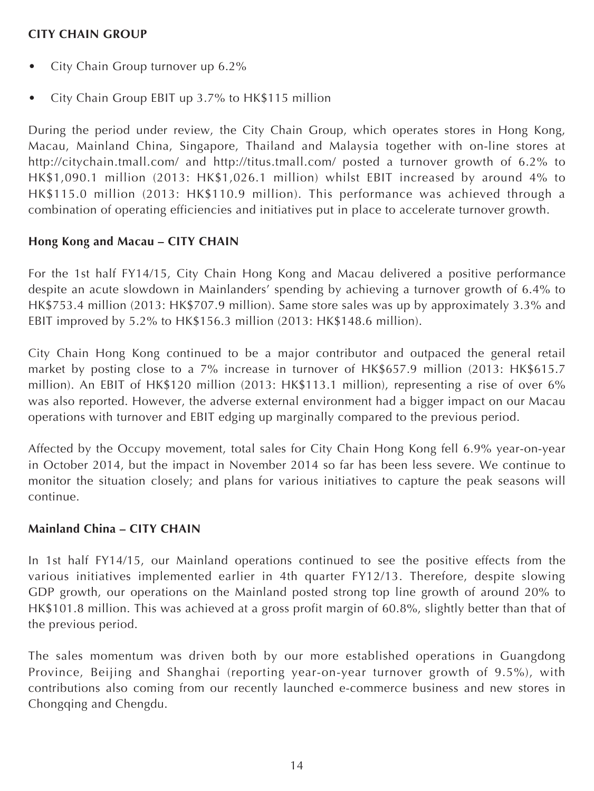# **CITY CHAIN GROUP**

- City Chain Group turnover up 6.2%
- City Chain Group EBIT up 3.7% to HK\$115 million

During the period under review, the City Chain Group, which operates stores in Hong Kong, Macau, Mainland China, Singapore, Thailand and Malaysia together with on-line stores at <http://citychain.tmall.com/> and <http://titus.tmall.com/>posted a turnover growth of 6.2% to HK\$1,090.1 million (2013: HK\$1,026.1 million) whilst EBIT increased by around 4% to HK\$115.0 million (2013: HK\$110.9 million). This performance was achieved through a combination of operating efficiencies and initiatives put in place to accelerate turnover growth.

# **Hong Kong and Macau – CITY CHAIN**

For the 1st half FY14/15, City Chain Hong Kong and Macau delivered a positive performance despite an acute slowdown in Mainlanders' spending by achieving a turnover growth of 6.4% to HK\$753.4 million (2013: HK\$707.9 million). Same store sales was up by approximately 3.3% and EBIT improved by 5.2% to HK\$156.3 million (2013: HK\$148.6 million).

City Chain Hong Kong continued to be a major contributor and outpaced the general retail market by posting close to a 7% increase in turnover of HK\$657.9 million (2013: HK\$615.7 million). An EBIT of HK\$120 million (2013: HK\$113.1 million), representing a rise of over 6% was also reported. However, the adverse external environment had a bigger impact on our Macau operations with turnover and EBIT edging up marginally compared to the previous period.

Affected by the Occupy movement, total sales for City Chain Hong Kong fell 6.9% year-on-year in October 2014, but the impact in November 2014 so far has been less severe. We continue to monitor the situation closely; and plans for various initiatives to capture the peak seasons will continue.

# **Mainland China – CITY CHAIN**

In 1st half FY14/15, our Mainland operations continued to see the positive effects from the various initiatives implemented earlier in 4th quarter FY12/13. Therefore, despite slowing GDP growth, our operations on the Mainland posted strong top line growth of around 20% to HK\$101.8 million. This was achieved at a gross profit margin of 60.8%, slightly better than that of the previous period.

The sales momentum was driven both by our more established operations in Guangdong Province, Beijing and Shanghai (reporting year-on-year turnover growth of 9.5%), with contributions also coming from our recently launched e-commerce business and new stores in Chongqing and Chengdu.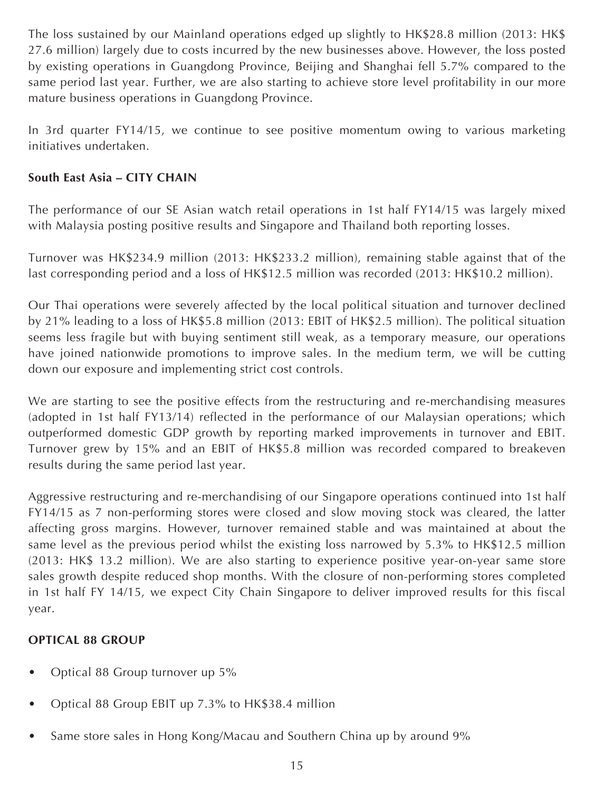The loss sustained by our Mainland operations edged up slightly to HK\$28.8 million (2013: HK\$ 27.6 million) largely due to costs incurred by the new businesses above. However, the loss posted by existing operations in Guangdong Province, Beijing and Shanghai fell 5.7% compared to the same period last year. Further, we are also starting to achieve store level profitability in our more mature business operations in Guangdong Province.

In 3rd quarter FY14/15, we continue to see positive momentum owing to various marketing initiatives undertaken.

# **South East Asia – CITY CHAIN**

The performance of our SE Asian watch retail operations in 1st half FY14/15 was largely mixed with Malaysia posting positive results and Singapore and Thailand both reporting losses.

Turnover was HK\$234.9 million (2013: HK\$233.2 million), remaining stable against that of the last corresponding period and a loss of HK\$12.5 million was recorded (2013: HK\$10.2 million).

Our Thai operations were severely affected by the local political situation and turnover declined by 21% leading to a loss of HK\$5.8 million (2013: EBIT of HK\$2.5 million). The political situation seems less fragile but with buying sentiment still weak, as a temporary measure, our operations have joined nationwide promotions to improve sales. In the medium term, we will be cutting down our exposure and implementing strict cost controls.

We are starting to see the positive effects from the restructuring and re-merchandising measures (adopted in 1st half FY13/14) reflected in the performance of our Malaysian operations; which outperformed domestic GDP growth by reporting marked improvements in turnover and EBIT. Turnover grew by 15% and an EBIT of HK\$5.8 million was recorded compared to breakeven results during the same period last year.

Aggressive restructuring and re-merchandising of our Singapore operations continued into 1st half FY14/15 as 7 non-performing stores were closed and slow moving stock was cleared, the latter affecting gross margins. However, turnover remained stable and was maintained at about the same level as the previous period whilst the existing loss narrowed by 5.3% to HK\$12.5 million (2013: HK\$ 13.2 million). We are also starting to experience positive year-on-year same store sales growth despite reduced shop months. With the closure of non-performing stores completed in 1st half FY 14/15, we expect City Chain Singapore to deliver improved results for this fiscal year.

# **OPTICAL 88 GROUP**

- Optical 88 Group turnover up 5%
- Optical 88 Group EBIT up 7.3% to HK\$38.4 million
- Same store sales in Hong Kong/Macau and Southern China up by around 9%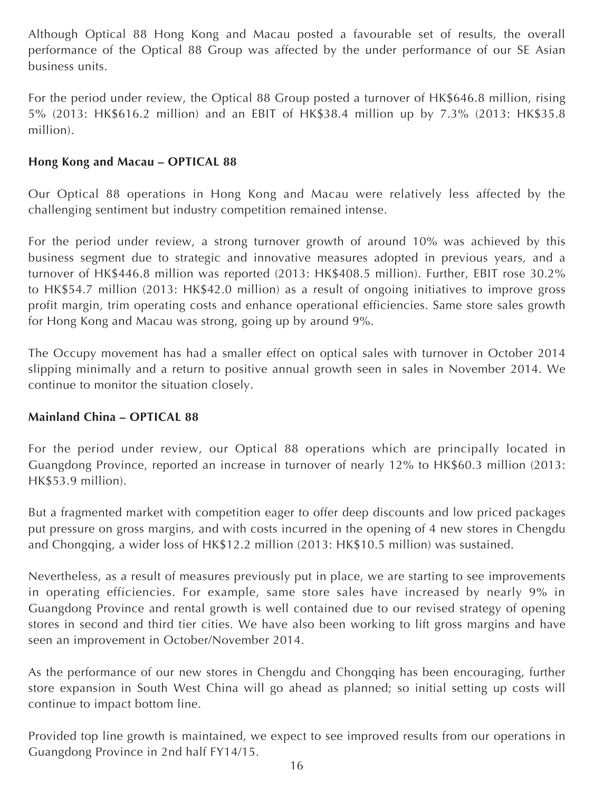Although Optical 88 Hong Kong and Macau posted a favourable set of results, the overall performance of the Optical 88 Group was affected by the under performance of our SE Asian business units.

For the period under review, the Optical 88 Group posted a turnover of HK\$646.8 million, rising 5% (2013: HK\$616.2 million) and an EBIT of HK\$38.4 million up by 7.3% (2013: HK\$35.8 million).

# **Hong Kong and Macau – OPTICAL 88**

Our Optical 88 operations in Hong Kong and Macau were relatively less affected by the challenging sentiment but industry competition remained intense.

For the period under review, a strong turnover growth of around 10% was achieved by this business segment due to strategic and innovative measures adopted in previous years, and a turnover of HK\$446.8 million was reported (2013: HK\$408.5 million). Further, EBIT rose 30.2% to HK\$54.7 million (2013: HK\$42.0 million) as a result of ongoing initiatives to improve gross profit margin, trim operating costs and enhance operational efficiencies. Same store sales growth for Hong Kong and Macau was strong, going up by around 9%.

The Occupy movement has had a smaller effect on optical sales with turnover in October 2014 slipping minimally and a return to positive annual growth seen in sales in November 2014. We continue to monitor the situation closely.

# **Mainland China – OPTICAL 88**

For the period under review, our Optical 88 operations which are principally located in Guangdong Province, reported an increase in turnover of nearly 12% to HK\$60.3 million (2013: HK\$53.9 million).

But a fragmented market with competition eager to offer deep discounts and low priced packages put pressure on gross margins, and with costs incurred in the opening of 4 new stores in Chengdu and Chongqing, a wider loss of HK\$12.2 million (2013: HK\$10.5 million) was sustained.

Nevertheless, as a result of measures previously put in place, we are starting to see improvements in operating efficiencies. For example, same store sales have increased by nearly 9% in Guangdong Province and rental growth is well contained due to our revised strategy of opening stores in second and third tier cities. We have also been working to lift gross margins and have seen an improvement in October/November 2014.

As the performance of our new stores in Chengdu and Chongqing has been encouraging, further store expansion in South West China will go ahead as planned; so initial setting up costs will continue to impact bottom line.

Provided top line growth is maintained, we expect to see improved results from our operations in Guangdong Province in 2nd half FY14/15.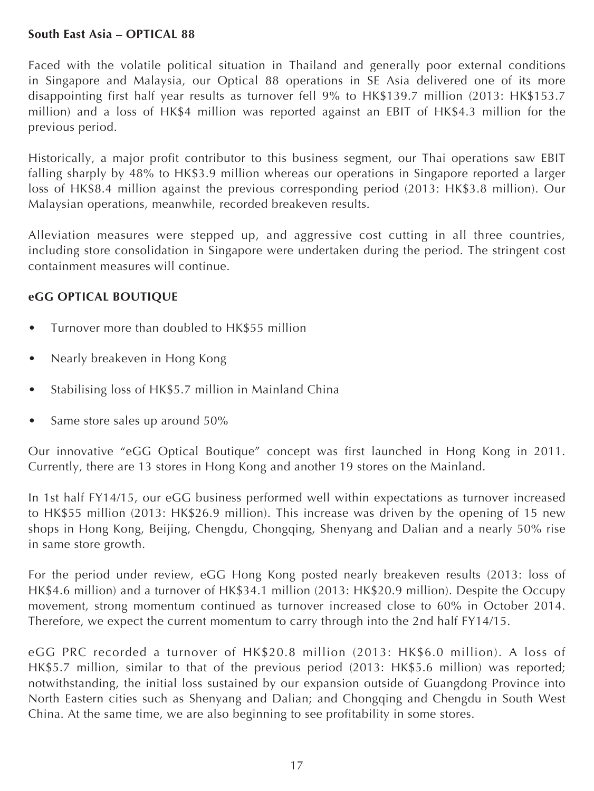## **South East Asia – OPTICAL 88**

Faced with the volatile political situation in Thailand and generally poor external conditions in Singapore and Malaysia, our Optical 88 operations in SE Asia delivered one of its more disappointing first half year results as turnover fell 9% to HK\$139.7 million (2013: HK\$153.7 million) and a loss of HK\$4 million was reported against an EBIT of HK\$4.3 million for the previous period.

Historically, a major profit contributor to this business segment, our Thai operations saw EBIT falling sharply by 48% to HK\$3.9 million whereas our operations in Singapore reported a larger loss of HK\$8.4 million against the previous corresponding period (2013: HK\$3.8 million). Our Malaysian operations, meanwhile, recorded breakeven results.

Alleviation measures were stepped up, and aggressive cost cutting in all three countries, including store consolidation in Singapore were undertaken during the period. The stringent cost containment measures will continue.

# **eGG OPTICAL BOUTIQUE**

- Turnover more than doubled to HK\$55 million
- Nearly breakeven in Hong Kong
- Stabilising loss of HK\$5.7 million in Mainland China
- Same store sales up around 50%

Our innovative "eGG Optical Boutique" concept was first launched in Hong Kong in 2011. Currently, there are 13 stores in Hong Kong and another 19 stores on the Mainland.

In 1st half FY14/15, our eGG business performed well within expectations as turnover increased to HK\$55 million (2013: HK\$26.9 million). This increase was driven by the opening of 15 new shops in Hong Kong, Beijing, Chengdu, Chongqing, Shenyang and Dalian and a nearly 50% rise in same store growth.

For the period under review, eGG Hong Kong posted nearly breakeven results (2013: loss of HK\$4.6 million) and a turnover of HK\$34.1 million (2013: HK\$20.9 million). Despite the Occupy movement, strong momentum continued as turnover increased close to 60% in October 2014. Therefore, we expect the current momentum to carry through into the 2nd half FY14/15.

eGG PRC recorded a turnover of HK\$20.8 million (2013: HK\$6.0 million). A loss of HK\$5.7 million, similar to that of the previous period (2013: HK\$5.6 million) was reported; notwithstanding, the initial loss sustained by our expansion outside of Guangdong Province into North Eastern cities such as Shenyang and Dalian; and Chongqing and Chengdu in South West China. At the same time, we are also beginning to see profitability in some stores.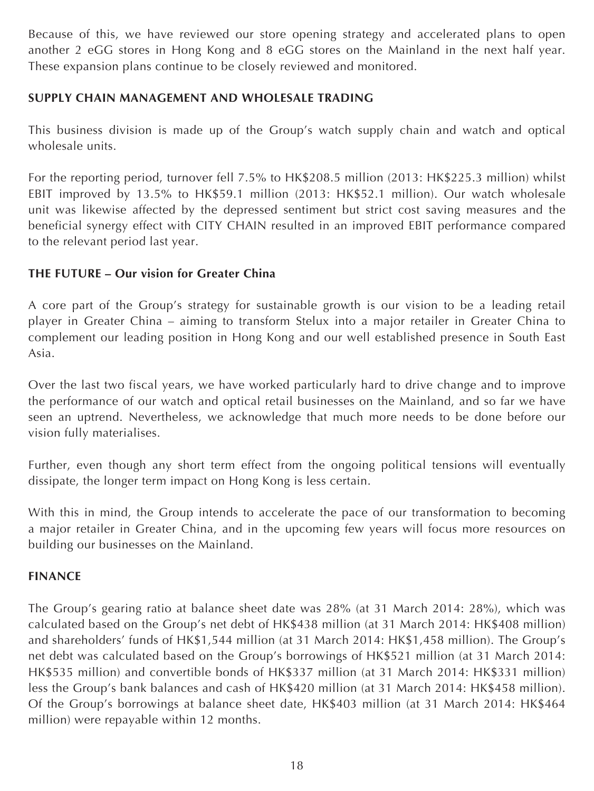Because of this, we have reviewed our store opening strategy and accelerated plans to open another 2 eGG stores in Hong Kong and 8 eGG stores on the Mainland in the next half year. These expansion plans continue to be closely reviewed and monitored.

# **SUPPLY CHAIN MANAGEMENT AND WHOLESALE TRADING**

This business division is made up of the Group's watch supply chain and watch and optical wholesale units.

For the reporting period, turnover fell 7.5% to HK\$208.5 million (2013: HK\$225.3 million) whilst EBIT improved by 13.5% to HK\$59.1 million (2013: HK\$52.1 million). Our watch wholesale unit was likewise affected by the depressed sentiment but strict cost saving measures and the beneficial synergy effect with CITY CHAIN resulted in an improved EBIT performance compared to the relevant period last year.

# **THE FUTURE – Our vision for Greater China**

A core part of the Group's strategy for sustainable growth is our vision to be a leading retail player in Greater China – aiming to transform Stelux into a major retailer in Greater China to complement our leading position in Hong Kong and our well established presence in South East Asia.

Over the last two fiscal years, we have worked particularly hard to drive change and to improve the performance of our watch and optical retail businesses on the Mainland, and so far we have seen an uptrend. Nevertheless, we acknowledge that much more needs to be done before our vision fully materialises.

Further, even though any short term effect from the ongoing political tensions will eventually dissipate, the longer term impact on Hong Kong is less certain.

With this in mind, the Group intends to accelerate the pace of our transformation to becoming a major retailer in Greater China, and in the upcoming few years will focus more resources on building our businesses on the Mainland.

# **FINANCE**

The Group's gearing ratio at balance sheet date was 28% (at 31 March 2014: 28%), which was calculated based on the Group's net debt of HK\$438 million (at 31 March 2014: HK\$408 million) and shareholders' funds of HK\$1,544 million (at 31 March 2014: HK\$1,458 million). The Group's net debt was calculated based on the Group's borrowings of HK\$521 million (at 31 March 2014: HK\$535 million) and convertible bonds of HK\$337 million (at 31 March 2014: HK\$331 million) less the Group's bank balances and cash of HK\$420 million (at 31 March 2014: HK\$458 million). Of the Group's borrowings at balance sheet date, HK\$403 million (at 31 March 2014: HK\$464 million) were repayable within 12 months.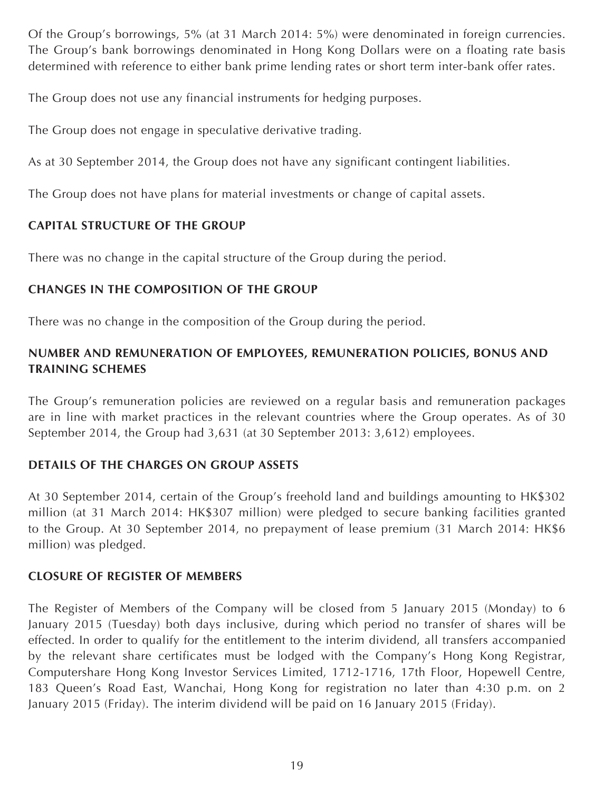Of the Group's borrowings, 5% (at 31 March 2014: 5%) were denominated in foreign currencies. The Group's bank borrowings denominated in Hong Kong Dollars were on a floating rate basis determined with reference to either bank prime lending rates or short term inter-bank offer rates.

The Group does not use any financial instruments for hedging purposes.

The Group does not engage in speculative derivative trading.

As at 30 September 2014, the Group does not have any significant contingent liabilities.

The Group does not have plans for material investments or change of capital assets.

# **CAPITAL STRUCTURE OF THE GROUP**

There was no change in the capital structure of the Group during the period.

# **CHANGES IN THE COMPOSITION OF THE GROUP**

There was no change in the composition of the Group during the period.

# **NUMBER AND REMUNERATION OF EMPLOYEES, REMUNERATION POLICIES, BONUS AND TRAINING SCHEMES**

The Group's remuneration policies are reviewed on a regular basis and remuneration packages are in line with market practices in the relevant countries where the Group operates. As of 30 September 2014, the Group had 3,631 (at 30 September 2013: 3,612) employees.

# **DETAILS OF THE CHARGES ON GROUP ASSETS**

At 30 September 2014, certain of the Group's freehold land and buildings amounting to HK\$302 million (at 31 March 2014: HK\$307 million) were pledged to secure banking facilities granted to the Group. At 30 September 2014, no prepayment of lease premium (31 March 2014: HK\$6 million) was pledged.

# **CLOSURE OF REGISTER OF MEMBERS**

The Register of Members of the Company will be closed from 5 January 2015 (Monday) to 6 January 2015 (Tuesday) both days inclusive, during which period no transfer of shares will be effected. In order to qualify for the entitlement to the interim dividend, all transfers accompanied by the relevant share certificates must be lodged with the Company's Hong Kong Registrar, Computershare Hong Kong Investor Services Limited, 1712-1716, 17th Floor, Hopewell Centre, 183 Queen's Road East, Wanchai, Hong Kong for registration no later than 4:30 p.m. on 2 January 2015 (Friday). The interim dividend will be paid on 16 January 2015 (Friday).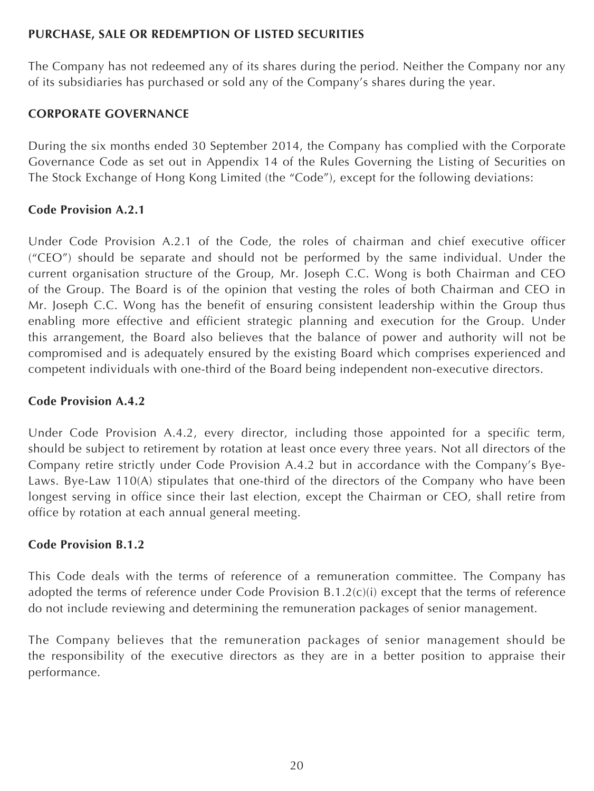# **PURCHASE, SALE OR REDEMPTION OF LISTED SECURITIES**

The Company has not redeemed any of its shares during the period. Neither the Company nor any of its subsidiaries has purchased or sold any of the Company's shares during the year.

# **CORPORATE GOVERNANCE**

During the six months ended 30 September 2014, the Company has complied with the Corporate Governance Code as set out in Appendix 14 of the Rules Governing the Listing of Securities on The Stock Exchange of Hong Kong Limited (the "Code"), except for the following deviations:

# **Code Provision A.2.1**

Under Code Provision A.2.1 of the Code, the roles of chairman and chief executive officer ("CEO") should be separate and should not be performed by the same individual. Under the current organisation structure of the Group, Mr. Joseph C.C. Wong is both Chairman and CEO of the Group. The Board is of the opinion that vesting the roles of both Chairman and CEO in Mr. Joseph C.C. Wong has the benefit of ensuring consistent leadership within the Group thus enabling more effective and efficient strategic planning and execution for the Group. Under this arrangement, the Board also believes that the balance of power and authority will not be compromised and is adequately ensured by the existing Board which comprises experienced and competent individuals with one-third of the Board being independent non-executive directors.

# **Code Provision A.4.2**

Under Code Provision A.4.2, every director, including those appointed for a specific term, should be subject to retirement by rotation at least once every three years. Not all directors of the Company retire strictly under Code Provision A.4.2 but in accordance with the Company's Bye-Laws. Bye-Law 110(A) stipulates that one-third of the directors of the Company who have been longest serving in office since their last election, except the Chairman or CEO, shall retire from office by rotation at each annual general meeting.

# **Code Provision B.1.2**

This Code deals with the terms of reference of a remuneration committee. The Company has adopted the terms of reference under Code Provision B.1.2(c)(i) except that the terms of reference do not include reviewing and determining the remuneration packages of senior management.

The Company believes that the remuneration packages of senior management should be the responsibility of the executive directors as they are in a better position to appraise their performance.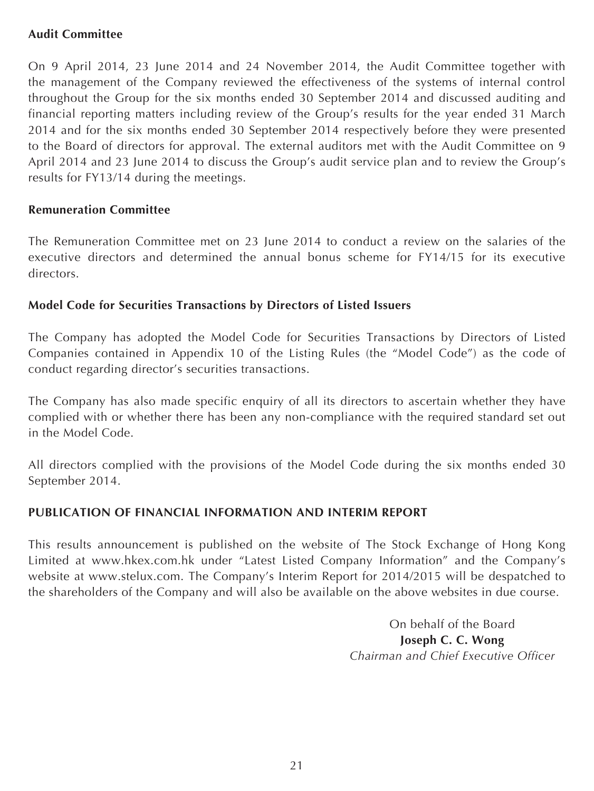# **Audit Committee**

On 9 April 2014, 23 June 2014 and 24 November 2014, the Audit Committee together with the management of the Company reviewed the effectiveness of the systems of internal control throughout the Group for the six months ended 30 September 2014 and discussed auditing and financial reporting matters including review of the Group's results for the year ended 31 March 2014 and for the six months ended 30 September 2014 respectively before they were presented to the Board of directors for approval. The external auditors met with the Audit Committee on 9 April 2014 and 23 June 2014 to discuss the Group's audit service plan and to review the Group's results for FY13/14 during the meetings.

# **Remuneration Committee**

The Remuneration Committee met on 23 June 2014 to conduct a review on the salaries of the executive directors and determined the annual bonus scheme for FY14/15 for its executive directors.

# **Model Code for Securities Transactions by Directors of Listed Issuers**

The Company has adopted the Model Code for Securities Transactions by Directors of Listed Companies contained in Appendix 10 of the Listing Rules (the "Model Code") as the code of conduct regarding director's securities transactions.

The Company has also made specific enquiry of all its directors to ascertain whether they have complied with or whether there has been any non-compliance with the required standard set out in the Model Code.

All directors complied with the provisions of the Model Code during the six months ended 30 September 2014.

# **PUBLICATION OF FINANCIAL INFORMATION AND INTERIM REPORT**

This results announcement is published on the website of The Stock Exchange of Hong Kong Limited at [www.hkex.com.hk](http://www.hkex.com.hk) under "Latest Listed Company Information" and the Company's website at [www.stelux.com](http://www.stelux.com). The Company's Interim Report for 2014/2015 will be despatched to the shareholders of the Company and will also be available on the above websites in due course.

> On behalf of the Board **Joseph C. C. Wong** *Chairman and Chief Executive Officer*